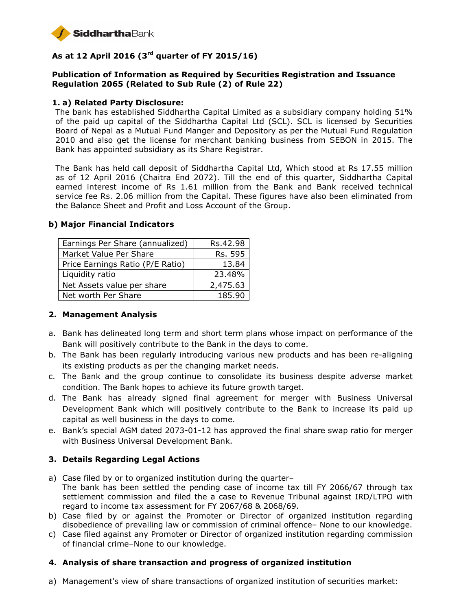

# **As at 12 April 2016 (3rd quarter of FY 2015/16)**

## **Publication of Information as Required by Securities Registration and Issuance Regulation 2065 (Related to Sub Rule (2) of Rule 22)**

### **1. a) Related Party Disclosure:**

The bank has established Siddhartha Capital Limited as a subsidiary company holding 51% of the paid up capital of the Siddhartha Capital Ltd (SCL). SCL is licensed by Securities Board of Nepal as a Mutual Fund Manger and Depository as per the Mutual Fund Regulation 2010 and also get the license for merchant banking business from SEBON in 2015. The Bank has appointed subsidiary as its Share Registrar.

The Bank has held call deposit of Siddhartha Capital Ltd, Which stood at Rs 17.55 million as of 12 April 2016 (Chaitra End 2072). Till the end of this quarter, Siddhartha Capital earned interest income of Rs 1.61 million from the Bank and Bank received technical service fee Rs. 2.06 million from the Capital. These figures have also been eliminated from the Balance Sheet and Profit and Loss Account of the Group.

| Earnings Per Share (annualized)  | Rs.42.98 |
|----------------------------------|----------|
| Market Value Per Share           | Rs. 595  |
| Price Earnings Ratio (P/E Ratio) | 13.84    |
| Liquidity ratio                  | 23.48%   |
| Net Assets value per share       | 2,475.63 |
| Net worth Per Share              | 185.90   |

#### **b) Major Financial Indicators**

### **2. Management Analysis**

- a. Bank has delineated long term and short term plans whose impact on performance of the Bank will positively contribute to the Bank in the days to come.
- b. The Bank has been regularly introducing various new products and has been re-aligning its existing products as per the changing market needs.
- c. The Bank and the group continue to consolidate its business despite adverse market condition. The Bank hopes to achieve its future growth target.
- d. The Bank has already signed final agreement for merger with Business Universal Development Bank which will positively contribute to the Bank to increase its paid up capital as well business in the days to come.
- e. Bank's special AGM dated 2073-01-12 has approved the final share swap ratio for merger with Business Universal Development Bank.

### **3. Details Regarding Legal Actions**

- a) Case filed by or to organized institution during the quarter– The bank has been settled the pending case of income tax till FY 2066/67 through tax settlement commission and filed the a case to Revenue Tribunal against IRD/LTPO with regard to income tax assessment for FY 2067/68 & 2068/69.
- b) Case filed by or against the Promoter or Director of organized institution regarding disobedience of prevailing law or commission of criminal offence– None to our knowledge.
- c) Case filed against any Promoter or Director of organized institution regarding commission of financial crime–None to our knowledge.

### **4. Analysis of share transaction and progress of organized institution**

a) Management's view of share transactions of organized institution of securities market: